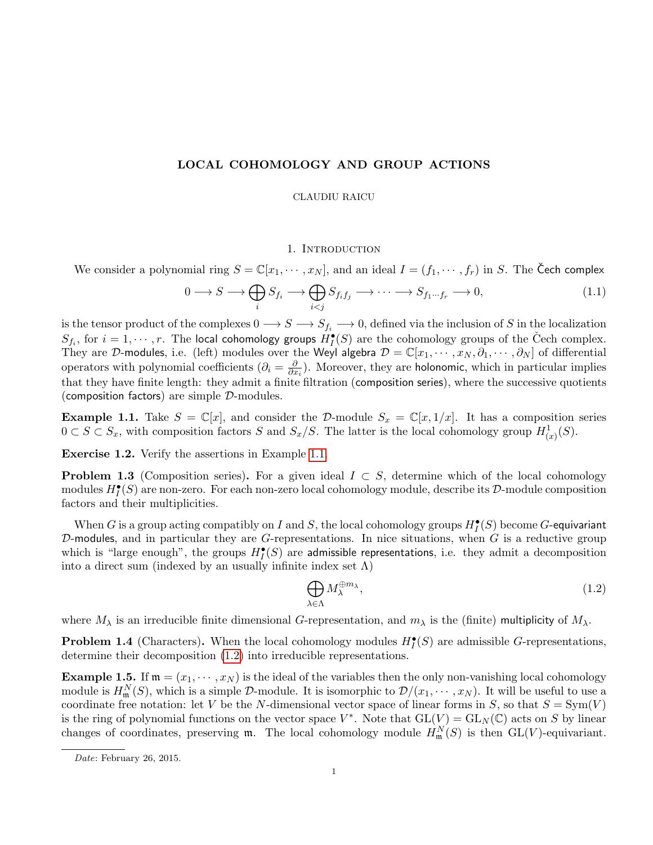# LOCAL COHOMOLOGY AND GROUP ACTIONS

CLAUDIU RAICU

## 1. INTRODUCTION

We consider a polynomial ring  $S = \mathbb{C}[x_1, \dots, x_N]$ , and an ideal  $I = (f_1, \dots, f_r)$  in S. The Cech complex

$$
0 \longrightarrow S \longrightarrow \bigoplus_{i} S_{f_i} \longrightarrow \bigoplus_{i < j} S_{f_i f_j} \longrightarrow \cdots \longrightarrow S_{f_1 \cdots f_r} \longrightarrow 0,\tag{1.1}
$$

is the tensor product of the complexes  $0 \to S \to S_{f_i} \to 0$ , defined via the inclusion of S in the localization  $S_{f_i}$ , for  $i=1,\cdots,r.$  The local cohomology groups  $H^\bullet_I(S)$  are the cohomology groups of the Čech complex. They are D-modules, i.e. (left) modules over the Weyl algebra  $\mathcal{D} = \mathbb{C}[x_1,\dots,x_N,\partial_1,\dots,\partial_N]$  of differential operators with polynomial coefficients  $\left(\partial_i = \frac{\partial}{\partial x_i}\right)$  $\frac{\partial}{\partial x_i}$ ). Moreover, they are holonomic, which in particular implies that they have finite length: they admit a finite filtration (composition series), where the successive quotients (composition factors) are simple  $\mathcal{D}\text{-modules.}$ 

<span id="page-0-0"></span>**Example 1.1.** Take  $S = \mathbb{C}[x]$ , and consider the D-module  $S_x = \mathbb{C}[x, 1/x]$ . It has a composition series  $0 \subset S \subset S_x$ , with composition factors S and  $S_x/S$ . The latter is the local cohomology group  $H^1_{(x)}(S)$ .

Exercise 1.2. Verify the assertions in Example [1.1.](#page-0-0)

<span id="page-0-3"></span>**Problem 1.3** (Composition series). For a given ideal  $I \subset S$ , determine which of the local cohomology modules  $H_I^{\bullet}(S)$  are non-zero. For each non-zero local cohomology module, describe its  $\mathcal{D}\text{-module composition}$ factors and their multiplicities.

When  $G$  is a group acting compatibly on  $I$  and  $S$ , the local cohomology groups  $H^\bullet_I(S)$  become  $G$ -equivariant  $D$ -modules, and in particular they are G-representations. In nice situations, when  $G$  is a reductive group which is "large enough", the groups  $H_I^{\bullet}(S)$  are admissible representations, i.e. they admit a decomposition into a direct sum (indexed by an usually infinite index set  $\Lambda$ )

<span id="page-0-1"></span>
$$
\bigoplus_{\lambda \in \Lambda} M_{\lambda}^{\oplus m_{\lambda}},\tag{1.2}
$$

where  $M_\lambda$  is an irreducible finite dimensional G-representation, and  $m_\lambda$  is the (finite) multiplicity of  $M_\lambda$ .

<span id="page-0-2"></span>**Problem 1.4** (Characters). When the local cohomology modules  $H_I^{\bullet}(S)$  are admissible G-representations, determine their decomposition [\(1.2\)](#page-0-1) into irreducible representations.

**Example 1.5.** If  $\mathfrak{m} = (x_1, \dots, x_N)$  is the ideal of the variables then the only non-vanishing local cohomology module is  $H_{\mathfrak{m}}^{N}(S)$ , which is a simple D-module. It is isomorphic to  $\mathcal{D}/(x_1,\cdots,x_N)$ . It will be useful to use a coordinate free notation: let V be the N-dimensional vector space of linear forms in S, so that  $S = Sym(V)$ is the ring of polynomial functions on the vector space  $V^*$ . Note that  $GL(V) = GL_N(\mathbb{C})$  acts on S by linear changes of coordinates, preserving  $\mathfrak{m}$ . The local cohomology module  $H_{\mathfrak{m}}^{N}(S)$  is then  $GL(V)$ -equivariant.

Date: February 26, 2015.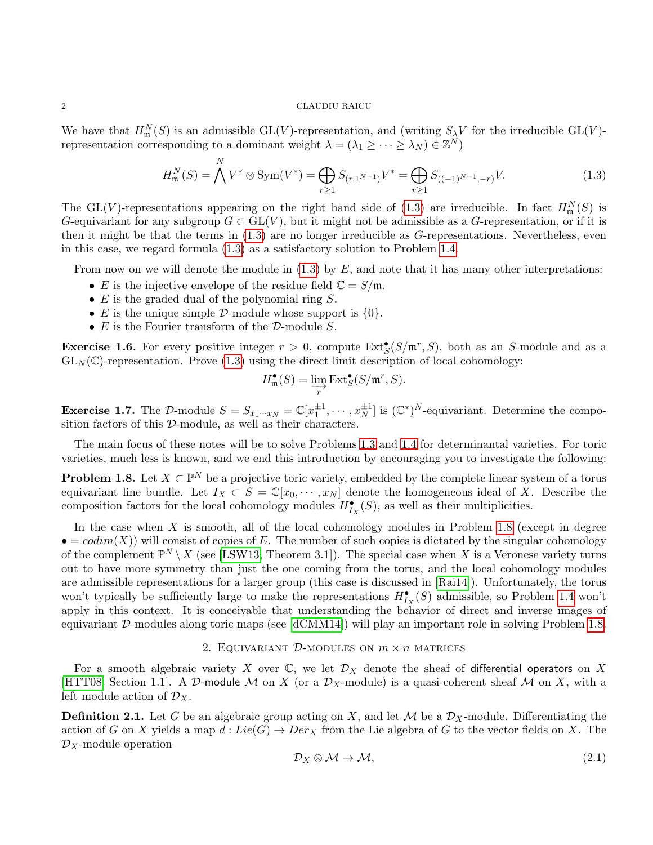We have that  $H_{\mathfrak{m}}^N(S)$  is an admissible GL(V)-representation, and (writing  $S_\lambda V$  for the irreducible GL(V)representation corresponding to a dominant weight  $\lambda = (\lambda_1 \geq \cdots \geq \lambda_N) \in \mathbb{Z}^N$ 

<span id="page-1-0"></span>
$$
H_{\mathfrak{m}}^{N}(S) = \bigwedge^{N} V^{*} \otimes \text{Sym}(V^{*}) = \bigoplus_{r \ge 1} S_{(r,1^{N-1})}V^{*} = \bigoplus_{r \ge 1} S_{((-1)^{N-1},-r)}V.
$$
\n(1.3)

The GL(V)-representations appearing on the right hand side of [\(1.3\)](#page-1-0) are irreducible. In fact  $H_{\mathfrak{m}}^{N}(S)$  is G-equivariant for any subgroup  $G \subset GL(V)$ , but it might not be admissible as a G-representation, or if it is then it might be that the terms in [\(1.3\)](#page-1-0) are no longer irreducible as G-representations. Nevertheless, even in this case, we regard formula [\(1.3\)](#page-1-0) as a satisfactory solution to Problem [1.4.](#page-0-2)

From now on we will denote the module in  $(1.3)$  by  $E$ , and note that it has many other interpretations:

- E is the injective envelope of the residue field  $\mathbb{C} = S/\mathfrak{m}$ .
- $\bullet$  E is the graded dual of the polynomial ring S.
- E is the unique simple D-module whose support is  $\{0\}$ .
- $E$  is the Fourier transform of the  $\mathcal{D}\text{-module }S$ .

<span id="page-1-5"></span>**Exercise 1.6.** For every positive integer  $r > 0$ , compute  $Ext_S^{\bullet}(S/\mathfrak{m}^r, S)$ , both as an S-module and as a  $GL_N(\mathbb{C})$ -representation. Prove [\(1.3\)](#page-1-0) using the direct limit description of local cohomology:

$$
H_{\mathfrak{m}}^{\bullet}(S) = \varinjlim_{r} \operatorname{Ext}_{S}^{\bullet}(S/\mathfrak{m}^{r}, S).
$$

<span id="page-1-3"></span>**Exercise 1.7.** The D-module  $S = S_{x_1 \cdots x_N} = \mathbb{C}[x_1^{\pm 1}, \cdots, x_N^{\pm 1}]$  is  $(\mathbb{C}^*)^N$ -equivariant. Determine the composition factors of this D-module, as well as their characters.

The main focus of these notes will be to solve Problems [1.3](#page-0-3) and [1.4](#page-0-2) for determinantal varieties. For toric varieties, much less is known, and we end this introduction by encouraging you to investigate the following:

<span id="page-1-1"></span>**Problem 1.8.** Let  $X \subset \mathbb{P}^N$  be a projective toric variety, embedded by the complete linear system of a torus equivariant line bundle. Let  $I_X \subset S = \mathbb{C}[x_0, \dots, x_N]$  denote the homogeneous ideal of X. Describe the composition factors for the local cohomology modules  $H_{I_X}^{\bullet}(S)$ , as well as their multiplicities.

In the case when  $X$  is smooth, all of the local cohomology modules in Problem [1.8](#page-1-1) (except in degree  $\bullet = codim(X)$  will consist of copies of E. The number of such copies is dictated by the singular cohomology of the complement  $\mathbb{P}^N\setminus X$  (see [\[LSW13,](#page-12-0) Theorem 3.1]). The special case when X is a Veronese variety turns out to have more symmetry than just the one coming from the torus, and the local cohomology modules are admissible representations for a larger group (this case is discussed in [\[Rai14\]](#page-12-1)). Unfortunately, the torus won't typically be sufficiently large to make the representations  $H_{I_X}^{\bullet}(S)$  admissible, so Problem [1.4](#page-0-2) won't apply in this context. It is conceivable that understanding the behavior of direct and inverse images of equivariant D-modules along toric maps (see [\[dCMM14\]](#page-12-2)) will play an important role in solving Problem [1.8.](#page-1-1)

### 2. EQUIVARIANT D-MODULES ON  $m \times n$  MATRICES

<span id="page-1-4"></span>For a smooth algebraic variety X over  $\mathbb{C}$ , we let  $\mathcal{D}_X$  denote the sheaf of differential operators on X [\[HTT08,](#page-12-3) Section 1.1]. A D-module M on X (or a  $\mathcal{D}_X$ -module) is a quasi-coherent sheaf M on X, with a left module action of  $\mathcal{D}_X$ .

**Definition 2.1.** Let G be an algebraic group acting on X, and let M be a  $\mathcal{D}_X$ -module. Differentiating the action of G on X yields a map  $d: Lie(G) \to Der_X$  from the Lie algebra of G to the vector fields on X. The  $\mathcal{D}_X$ -module operation

<span id="page-1-2"></span>
$$
\mathcal{D}_X \otimes \mathcal{M} \to \mathcal{M},\tag{2.1}
$$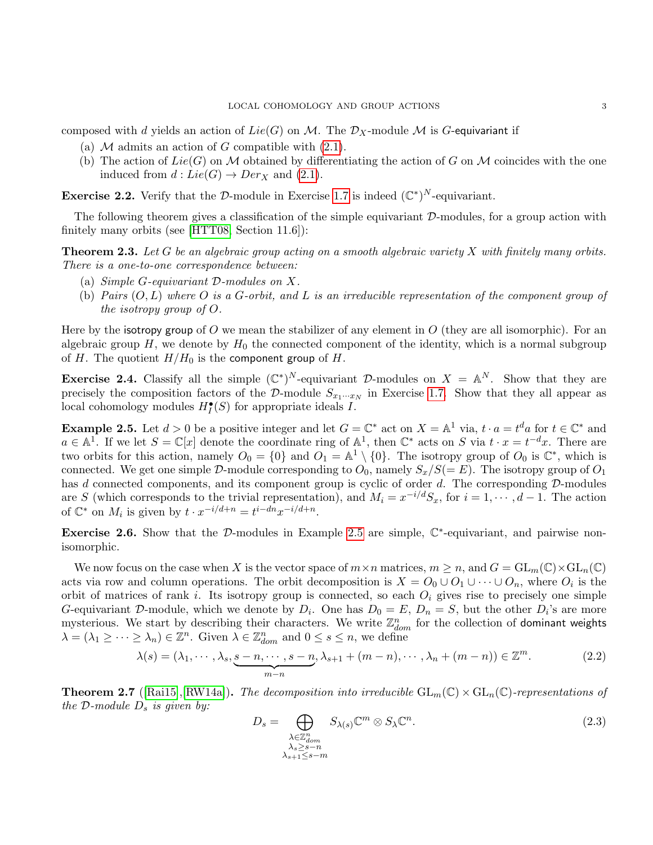composed with d yields an action of  $Lie(G)$  on M. The  $\mathcal{D}_X$ -module M is G-equivariant if

- (a)  $M$  admits an action of  $G$  compatible with  $(2.1)$ .
- (b) The action of  $Lie(G)$  on M obtained by differentiating the action of G on M coincides with the one induced from  $d: Lie(G) \to Der_X$  and  $(2.1)$ .

**Exercise 2.2.** Verify that the D-module in Exercise [1.7](#page-1-3) is indeed  $(\mathbb{C}^*)^N$ -equivariant.

The following theorem gives a classification of the simple equivariant  $D$ -modules, for a group action with finitely many orbits (see [\[HTT08,](#page-12-3) Section 11.6]):

**Theorem 2.3.** Let G be an algebraic group acting on a smooth algebraic variety X with finitely many orbits. There is a one-to-one correspondence between:

- (a) Simple G-equivariant D-modules on X.
- (b) Pairs  $(O, L)$  where O is a G-orbit, and L is an irreducible representation of the component group of the isotropy group of O.

Here by the isotropy group of O we mean the stabilizer of any element in  $O$  (they are all isomorphic). For an algebraic group  $H$ , we denote by  $H_0$  the connected component of the identity, which is a normal subgroup of H. The quotient  $H/H_0$  is the component group of H.

**Exercise 2.4.** Classify all the simple  $(\mathbb{C}^*)^N$ -equivariant D-modules on  $X = \mathbb{A}^N$ . Show that they are precisely the composition factors of the D-module  $S_{x_1\cdots x_N}$  in Exercise [1.7.](#page-1-3) Show that they all appear as local cohomology modules  $H_I^{\bullet}(S)$  for appropriate ideals I.

<span id="page-2-0"></span>**Example 2.5.** Let  $d > 0$  be a positive integer and let  $G = \mathbb{C}^*$  act on  $X = \mathbb{A}^1$  via,  $t \cdot a = t^d a$  for  $t \in \mathbb{C}^*$  and  $a \in \mathbb{A}^1$ . If we let  $S = \mathbb{C}[x]$  denote the coordinate ring of  $\mathbb{A}^1$ , then  $\mathbb{C}^*$  acts on S via  $t \cdot x = t^{-d}x$ . There are two orbits for this action, namely  $O_0 = \{0\}$  and  $O_1 = \mathbb{A}^1 \setminus \{0\}$ . The isotropy group of  $O_0$  is  $\mathbb{C}^*$ , which is connected. We get one simple D-module corresponding to  $O_0$ , namely  $S_x/S(=E)$ . The isotropy group of  $O_1$ has  $d$  connected components, and its component group is cyclic of order  $d$ . The corresponding  $D$ -modules are S (which corresponds to the trivial representation), and  $M_i = x^{-i/d} S_x$ , for  $i = 1, \dots, d - 1$ . The action of  $\mathbb{C}^*$  on  $M_i$  is given by  $t \cdot x^{-i/d+n} = t^{i-dn} x^{-i/d+n}$ .

Exercise 2.6. Show that the D-modules in Example [2.5](#page-2-0) are simple,  $\mathbb{C}^*$ -equivariant, and pairwise nonisomorphic.

We now focus on the case when X is the vector space of  $m \times n$  matrices,  $m \geq n$ , and  $G = GL_m(\mathbb{C}) \times GL_n(\mathbb{C})$ acts via row and column operations. The orbit decomposition is  $X = O_0 \cup O_1 \cup \cdots \cup O_n$ , where  $O_i$  is the orbit of matrices of rank i. Its isotropy group is connected, so each  $O_i$  gives rise to precisely one simple G-equivariant D-module, which we denote by  $D_i$ . One has  $D_0 = E$ ,  $D_n = S$ , but the other  $D_i$ 's are more mysterious. We start by describing their characters. We write  $\mathbb{Z}_{dom}^n$  for the collection of dominant weights  $\lambda = (\lambda_1 \geq \cdots \geq \lambda_n) \in \mathbb{Z}^n$ . Given  $\lambda \in \mathbb{Z}_{dom}^n$  and  $0 \leq s \leq n$ , we define

$$
\lambda(s) = (\lambda_1, \cdots, \lambda_s, \underbrace{s - n, \cdots, s - n}_{m-n}, \lambda_{s+1} + (m - n), \cdots, \lambda_n + (m - n)) \in \mathbb{Z}^m.
$$
 (2.2)

<span id="page-2-2"></span>**Theorem 2.7** ([\[Rai15\]](#page-12-4),[\[RW14a\]](#page-13-0)). The decomposition into irreducible  $GL_m(\mathbb{C}) \times GL_n(\mathbb{C})$ -representations of the D-module  $D_s$  is given by:

<span id="page-2-1"></span>
$$
D_s = \bigoplus_{\substack{\lambda \in \mathbb{Z}_{dom}^n \\ \lambda_s \ge s - n \\ \lambda_{s+1} \le s - m}} S_{\lambda(s)} \mathbb{C}^m \otimes S_{\lambda} \mathbb{C}^n.
$$
 (2.3)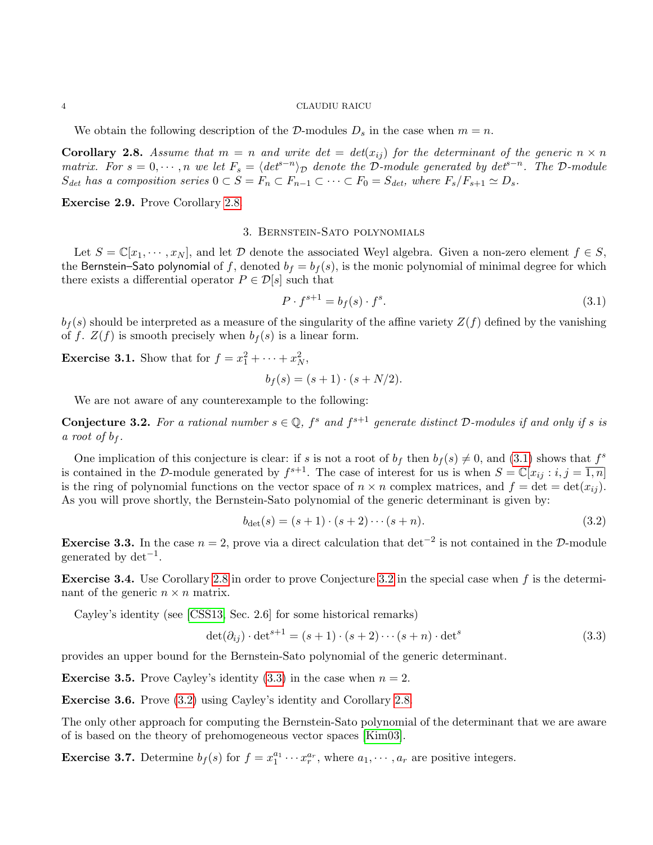We obtain the following description of the D-modules  $D_s$  in the case when  $m = n$ .

<span id="page-3-0"></span>**Corollary 2.8.** Assume that  $m = n$  and write  $det = det(x_{ij})$  for the determinant of the generic  $n \times n$ matrix. For  $s = 0, \dots, n$  we let  $F_s = \langle det^{s-n} \rangle_{\mathcal{D}}$  denote the D-module generated by  $det^{s-n}$ . The D-module  $S_{det}$  has a composition series  $0 \subset S = F_n \subset F_{n-1} \subset \cdots \subset F_0 = S_{det}$ , where  $F_s/F_{s+1} \simeq D_s$ .

Exercise 2.9. Prove Corollary [2.8.](#page-3-0)

## 3. Bernstein-Sato polynomials

Let  $S = \mathbb{C}[x_1, \dots, x_N]$ , and let  $\mathcal D$  denote the associated Weyl algebra. Given a non-zero element  $f \in S$ , the Bernstein–Sato polynomial of f, denoted  $b_f = b_f(s)$ , is the monic polynomial of minimal degree for which there exists a differential operator  $P \in \mathcal{D}[s]$  such that

<span id="page-3-1"></span>
$$
P \cdot f^{s+1} = b_f(s) \cdot f^s. \tag{3.1}
$$

 $b_f(s)$  should be interpreted as a measure of the singularity of the affine variety  $Z(f)$  defined by the vanishing of f.  $Z(f)$  is smooth precisely when  $b_f(s)$  is a linear form.

**Exercise 3.1.** Show that for  $f = x_1^2 + \cdots + x_N^2$ ,

 $b_f(s) = (s+1) \cdot (s+N/2).$ 

We are not aware of any counterexample to the following:

<span id="page-3-2"></span>**Conjecture 3.2.** For a rational number  $s \in \mathbb{Q}$ ,  $f^s$  and  $f^{s+1}$  generate distinct D-modules if and only if s is a root of  $b_f$ .

One implication of this conjecture is clear: if s is not a root of  $b_f$  then  $b_f(s) \neq 0$ , and [\(3.1\)](#page-3-1) shows that  $f^s$ is contained in the D-module generated by  $f^{s+1}$ . The case of interest for us is when  $S = \mathbb{C}[x_{ij} : i, j = \overline{1,n}]$ is the ring of polynomial functions on the vector space of  $n \times n$  complex matrices, and  $f = \det = \det(x_{ij})$ . As you will prove shortly, the Bernstein-Sato polynomial of the generic determinant is given by:

<span id="page-3-4"></span>
$$
b_{\det}(s) = (s+1) \cdot (s+2) \cdots (s+n). \tag{3.2}
$$

**Exercise 3.3.** In the case  $n = 2$ , prove via a direct calculation that det<sup>-2</sup> is not contained in the D-module generated by  $det^{-1}$ .

**Exercise 3.4.** Use Corollary [2.8](#page-3-0) in order to prove Conjecture [3.2](#page-3-2) in the special case when  $f$  is the determinant of the generic  $n \times n$  matrix.

Cayley's identity (see [\[CSS13,](#page-12-5) Sec. 2.6] for some historical remarks)

<span id="page-3-3"></span>
$$
\det(\partial_{ij}) \cdot \det^{s+1} = (s+1) \cdot (s+2) \cdots (s+n) \cdot \det^s \tag{3.3}
$$

provides an upper bound for the Bernstein-Sato polynomial of the generic determinant.

**Exercise 3.5.** Prove Cayley's identity [\(3.3\)](#page-3-3) in the case when  $n = 2$ .

Exercise 3.6. Prove [\(3.2\)](#page-3-4) using Cayley's identity and Corollary [2.8.](#page-3-0)

The only other approach for computing the Bernstein-Sato polynomial of the determinant that we are aware of is based on the theory of prehomogeneous vector spaces [\[Kim03\]](#page-12-6).

**Exercise 3.7.** Determine  $b_f(s)$  for  $f = x_1^{a_1} \cdots x_r^{a_r}$ , where  $a_1, \cdots, a_r$  are positive integers.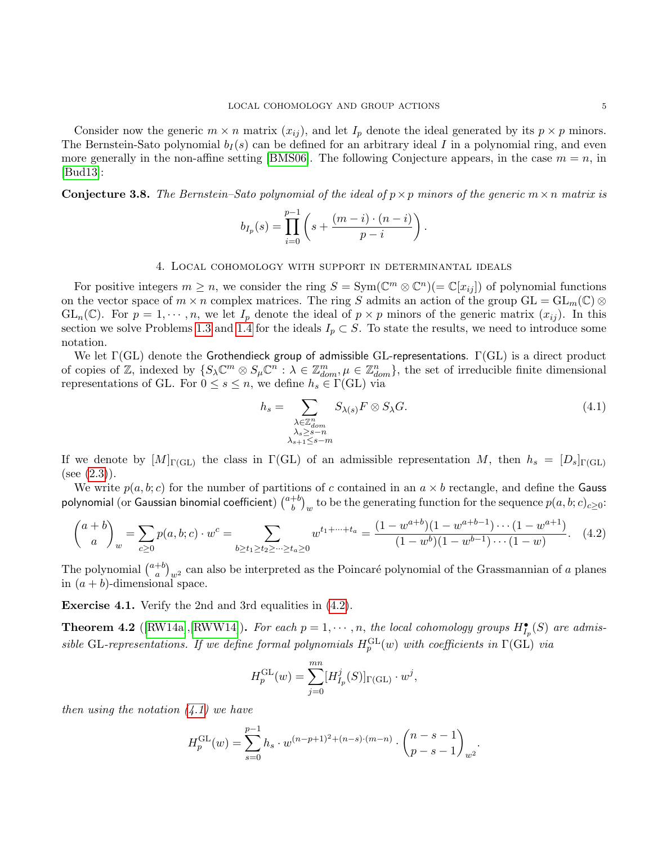Consider now the generic  $m \times n$  matrix  $(x_{ij})$ , and let  $I_p$  denote the ideal generated by its  $p \times p$  minors. The Bernstein-Sato polynomial  $b_I(s)$  can be defined for an arbitrary ideal I in a polynomial ring, and even more generally in the non-affine setting [\[BMS06\]](#page-12-7). The following Conjecture appears, in the case  $m = n$ , in [\[Bud13\]](#page-12-8):

**Conjecture 3.8.** The Bernstein–Sato polynomial of the ideal of  $p \times p$  minors of the generic  $m \times n$  matrix is

$$
b_{I_p}(s) = \prod_{i=0}^{p-1} \left( s + \frac{(m-i) \cdot (n-i)}{p-i} \right).
$$

## 4. Local cohomology with support in determinantal ideals

For positive integers  $m \geq n$ , we consider the ring  $S = \text{Sym}(\mathbb{C}^m \otimes \mathbb{C}^n)(= \mathbb{C}[x_{ij}])$  of polynomial functions on the vector space of  $m \times n$  complex matrices. The ring S admits an action of the group  $GL = GL_m(\mathbb{C}) \otimes$  $GL_n(\mathbb{C})$ . For  $p = 1, \dots, n$ , we let  $I_p$  denote the ideal of  $p \times p$  minors of the generic matrix  $(x_{ij})$ . In this section we solve Problems [1.3](#page-0-3) and [1.4](#page-0-2) for the ideals  $I_p \subset S$ . To state the results, we need to introduce some notation.

We let  $\Gamma$ (GL) denote the Grothendieck group of admissible GL-representations.  $\Gamma$ (GL) is a direct product of copies of  $\mathbb{Z}$ , indexed by  $\{S_{\lambda}\mathbb{C}^m \otimes S_{\mu}\mathbb{C}^n : \lambda \in \mathbb{Z}_{dom}^m, \mu \in \mathbb{Z}_{dom}^n\}$ , the set of irreducible finite dimensional representations of GL. For  $0 \leq s \leq n$ , we define  $h_s \in \Gamma(\text{GL})$  via

<span id="page-4-1"></span>
$$
h_s = \sum_{\substack{\lambda \in \mathbb{Z}_{dom}^n \\ \lambda_s \ge s - n \\ \lambda_{s+1} \le s - m}} S_{\lambda(s)} F \otimes S_{\lambda} G.
$$
\n(4.1)

If we denote by  $[M]_{\Gamma(\text{GL})}$  the class in  $\Gamma(\text{GL})$  of an admissible representation M, then  $h_s = [D_s]_{\Gamma(\text{GL})}$  $(see (2.3)).$  $(see (2.3)).$  $(see (2.3)).$ 

We write  $p(a, b; c)$  for the number of partitions of c contained in an  $a \times b$  rectangle, and define the Gauss polynomial (or Gaussian binomial coefficient)  $\binom{a+b}{b}$  $\binom{+b}{b}_w$  to be the generating function for the sequence  $p(a, b; c)_{c \geq 0}$ :

<span id="page-4-0"></span>
$$
\binom{a+b}{a}_w = \sum_{c\geq 0} p(a,b;c) \cdot w^c = \sum_{b\geq t_1\geq t_2\geq \dots \geq t_a\geq 0} w^{t_1+\dots+t_a} = \frac{(1-w^{a+b})(1-w^{a+b-1})\cdots(1-w^{a+1})}{(1-w^b)(1-w^{b-1})\cdots(1-w)}.\tag{4.2}
$$

The polynomial  $\binom{a+b}{a}$  $\binom{+b}{a}_{w^2}$  can also be interpreted as the Poincaré polynomial of the Grassmannian of a planes in  $(a + b)$ -dimensional space.

Exercise 4.1. Verify the 2nd and 3rd equalities in [\(4.2\)](#page-4-0).

<span id="page-4-2"></span>**Theorem 4.2** ([\[RW14a\]](#page-13-0),[\[RWW14\]](#page-13-1)). For each  $p = 1, \dots, n$ , the local cohomology groups  $H_{I_p}^{\bullet}(S)$  are admissible GL-representations. If we define formal polynomials  $H_p^{\text{GL}}(w)$  with coefficients in  $\Gamma(\text{GL})$  via

$$
H_p^{\rm GL}(w) = \sum_{j=0}^{mn} [H_{I_p}^j(S)]_{\Gamma({\rm GL})} \cdot w^j,
$$

then using the notation  $(4.1)$  we have

$$
H_p^{\rm GL}(w) = \sum_{s=0}^{p-1} h_s \cdot w^{(n-p+1)^2 + (n-s) \cdot (m-n)} \cdot \binom{n-s-1}{p-s-1}_{w^2}.
$$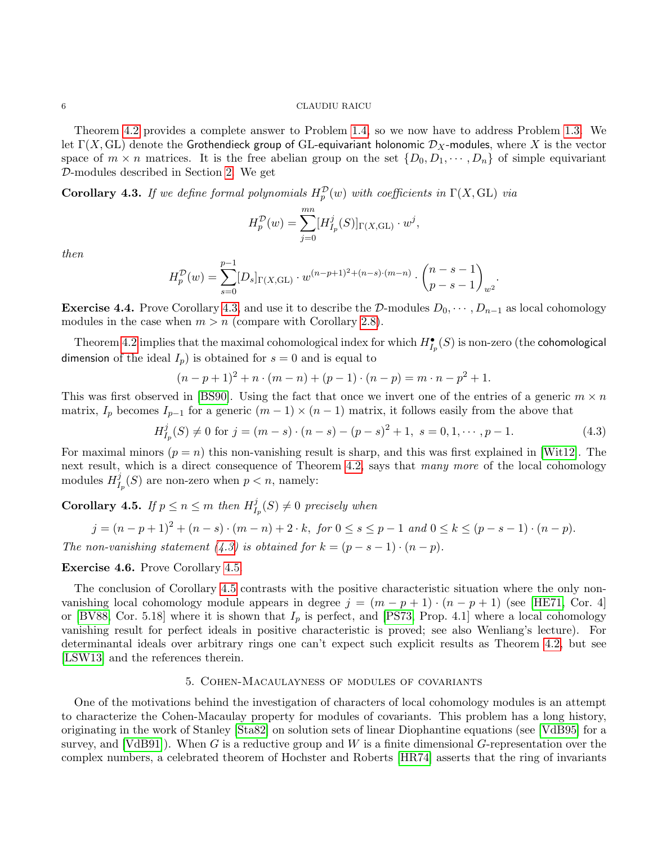Theorem [4.2](#page-4-2) provides a complete answer to Problem [1.4,](#page-0-2) so we now have to address Problem [1.3.](#page-0-3) We let  $\Gamma(X, GL)$  denote the Grothendieck group of GL-equivariant holonomic  $\mathcal{D}_X$ -modules, where X is the vector space of  $m \times n$  matrices. It is the free abelian group on the set  $\{D_0, D_1, \dots, D_n\}$  of simple equivariant D-modules described in Section [2.](#page-1-4) We get

<span id="page-5-0"></span>**Corollary 4.3.** If we define formal polynomials  $H_p^{\mathcal{D}}(w)$  with coefficients in  $\Gamma(X, GL)$  via

$$
H_p^{\mathcal{D}}(w) = \sum_{j=0}^{mn} [H_{I_p}^j(S)]_{\Gamma(X,\text{GL})} \cdot w^j,
$$

then

$$
H_p^{\mathcal{D}}(w) = \sum_{s=0}^{p-1} [D_s]_{\Gamma(X,\text{GL})} \cdot w^{(n-p+1)^2 + (n-s) \cdot (m-n)} \cdot \binom{n-s-1}{p-s-1}_{w^2}.
$$

**Exercise 4.4.** Prove Corollary [4.3,](#page-5-0) and use it to describe the D-modules  $D_0, \dots, D_{n-1}$  as local cohomology modules in the case when  $m > n$  (compare with Corollary [2.8\)](#page-3-0).

Theorem [4.2](#page-4-2) implies that the maximal cohomological index for which  $H_{I_p}^{\bullet}(S)$  is non-zero (the cohomological dimension of the ideal  $I_p$ ) is obtained for  $s = 0$  and is equal to

$$
(n-p+1)^{2} + n \cdot (m-n) + (p-1) \cdot (n-p) = m \cdot n - p^{2} + 1.
$$

This was first observed in [\[BS90\]](#page-12-9). Using the fact that once we invert one of the entries of a generic  $m \times n$ matrix,  $I_p$  becomes  $I_{p-1}$  for a generic  $(m-1) \times (n-1)$  matrix, it follows easily from the above that

<span id="page-5-1"></span>
$$
H_{I_p}^j(S) \neq 0 \text{ for } j = (m - s) \cdot (n - s) - (p - s)^2 + 1, \ s = 0, 1, \cdots, p - 1. \tag{4.3}
$$

For maximal minors  $(p = n)$  this non-vanishing result is sharp, and this was first explained in [\[Wit12\]](#page-13-2). The next result, which is a direct consequence of Theorem [4.2,](#page-4-2) says that many more of the local cohomology modules  $H_I^j$  $I_p^{\jmath}(S)$  are non-zero when  $p < n$ , namely:

<span id="page-5-2"></span>Corollary 4.5. If  $p \le n \le m$  then  $H_I^j$  $\mathcal{I}_{I_p}^{\jmath}(S) \neq 0$  precisely when

$$
j = (n - p + 1)^2 + (n - s) \cdot (m - n) + 2 \cdot k, \text{ for } 0 \le s \le p - 1 \text{ and } 0 \le k \le (p - s - 1) \cdot (n - p).
$$

The non-vanishing statement [\(4.3\)](#page-5-1) is obtained for  $k = (p - s - 1) \cdot (n - p)$ .

### Exercise 4.6. Prove Corollary [4.5.](#page-5-2)

The conclusion of Corollary [4.5](#page-5-2) contrasts with the positive characteristic situation where the only nonvanishing local cohomology module appears in degree  $j = (m - p + 1) \cdot (n - p + 1)$  (see [\[HE71,](#page-12-10) Cor. 4] or [\[BV88,](#page-12-11) Cor. 5.18] where it is shown that  $I_p$  is perfect, and [\[PS73,](#page-12-12) Prop. 4.1] where a local cohomology vanishing result for perfect ideals in positive characteristic is proved; see also Wenliang's lecture). For determinantal ideals over arbitrary rings one can't expect such explicit results as Theorem [4.2,](#page-4-2) but see [\[LSW13\]](#page-12-0) and the references therein.

## 5. Cohen-Macaulayness of modules of covariants

One of the motivations behind the investigation of characters of local cohomology modules is an attempt to characterize the Cohen-Macaulay property for modules of covariants. This problem has a long history, originating in the work of Stanley [\[Sta82\]](#page-13-3) on solution sets of linear Diophantine equations (see [\[VdB95\]](#page-13-4) for a survey, and [\[VdB91\]](#page-13-5)). When G is a reductive group and W is a finite dimensional G-representation over the complex numbers, a celebrated theorem of Hochster and Roberts [\[HR74\]](#page-12-13) asserts that the ring of invariants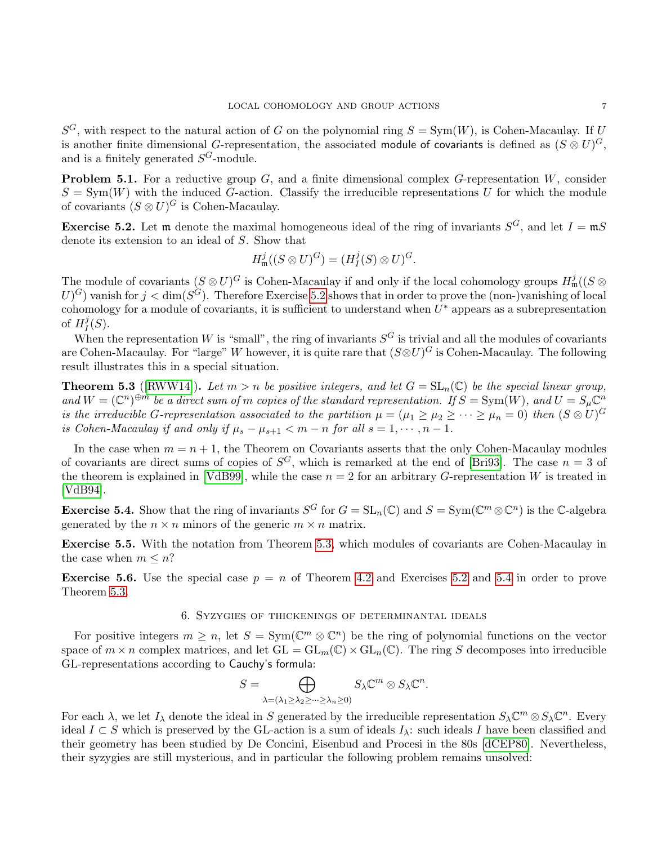$S^G$ , with respect to the natural action of G on the polynomial ring  $S = Sym(W)$ , is Cohen-Macaulay. If U is another finite dimensional G-representation, the associated module of covariants is defined as  $(S \otimes U)^G,$ and is a finitely generated  $S^G$ -module.

**Problem 5.1.** For a reductive group  $G$ , and a finite dimensional complex  $G$ -representation  $W$ , consider  $S = \text{Sym}(W)$  with the induced G-action. Classify the irreducible representations U for which the module of covariants  $(S \otimes U)^G$  is Cohen-Macaulay.

<span id="page-6-0"></span>**Exercise 5.2.** Let m denote the maximal homogeneous ideal of the ring of invariants  $S^G$ , and let  $I = \mathfrak{m}S$ denote its extension to an ideal of S. Show that

$$
H_{\mathfrak{m}}^j((S \otimes U)^G) = (H_I^j(S) \otimes U)^G.
$$

The module of covariants  $(S \otimes U)^G$  is Cohen-Macaulay if and only if the local cohomology groups  $H^j_\mathfrak{m}((S \otimes U)^G)$  $U^G$ ) vanish for  $j < \dim(S^G)$ . Therefore Exercise [5.2](#page-6-0) shows that in order to prove the (non-)vanishing of local cohomology for a module of covariants, it is sufficient to understand when  $U^*$  appears as a subrepresentation of  $H_I^j$  $I^{\jmath}(S)$ .

When the representation W is "small", the ring of invariants  $S^G$  is trivial and all the modules of covariants are Cohen-Macaulay. For "large" W however, it is quite rare that  $(S \otimes U)^G$  is Cohen-Macaulay. The following result illustrates this in a special situation.

<span id="page-6-1"></span>**Theorem 5.3** ([\[RWW14\]](#page-13-1)). Let  $m > n$  be positive integers, and let  $G = SL_n(\mathbb{C})$  be the special linear group, and  $W = (\mathbb{C}^n)^{\oplus m}$  be a direct sum of m copies of the standard representation. If  $S = \text{Sym}(W)$ , and  $U = S_{\mu} \mathbb{C}^n$ is the irreducible G-representation associated to the partition  $\mu = (\mu_1 \ge \mu_2 \ge \cdots \ge \mu_n = 0)$  then  $(S \otimes U)^G$ is Cohen-Macaulay if and only if  $\mu_s - \mu_{s+1} < m - n$  for all  $s = 1, \dots, n - 1$ .

In the case when  $m = n + 1$ , the Theorem on Covariants asserts that the only Cohen-Macaulay modules of covariants are direct sums of copies of  $S^G$ , which is remarked at the end of [\[Bri93\]](#page-12-14). The case  $n = 3$  of the theorem is explained in [\[VdB99\]](#page-13-6), while the case  $n = 2$  for an arbitrary G-representation W is treated in [\[VdB94\]](#page-13-7).

<span id="page-6-2"></span>**Exercise 5.4.** Show that the ring of invariants  $S^G$  for  $G = SL_n(\mathbb{C})$  and  $S = Sym(\mathbb{C}^m \otimes \mathbb{C}^n)$  is the  $\mathbb{C}$ -algebra generated by the  $n \times n$  minors of the generic  $m \times n$  matrix.

Exercise 5.5. With the notation from Theorem [5.3,](#page-6-1) which modules of covariants are Cohen-Macaulay in the case when  $m \leq n$ ?

**Exercise 5.6.** Use the special case  $p = n$  of Theorem [4.2](#page-4-2) and Exercises [5.2](#page-6-0) and [5.4](#page-6-2) in order to prove Theorem [5.3.](#page-6-1)

## 6. Syzygies of thickenings of determinantal ideals

For positive integers  $m \geq n$ , let  $S = Sym(\mathbb{C}^m \otimes \mathbb{C}^n)$  be the ring of polynomial functions on the vector space of  $m \times n$  complex matrices, and let  $GL = GL_m(\mathbb{C}) \times GL_n(\mathbb{C})$ . The ring S decomposes into irreducible GL-representations according to Cauchy's formula:

$$
S = \bigoplus_{\lambda = (\lambda_1 \geq \lambda_2 \geq \dots \geq \lambda_n \geq 0)} S_{\lambda} \mathbb{C}^m \otimes S_{\lambda} \mathbb{C}^n.
$$

For each  $\lambda$ , we let  $I_\lambda$  denote the ideal in S generated by the irreducible representation  $S_\lambda \mathbb{C}^m \otimes S_\lambda \mathbb{C}^n$ . Every ideal  $I \subset S$  which is preserved by the GL-action is a sum of ideals  $I_\lambda$ : such ideals I have been classified and their geometry has been studied by De Concini, Eisenbud and Procesi in the 80s [\[dCEP80\]](#page-12-15). Nevertheless, their syzygies are still mysterious, and in particular the following problem remains unsolved: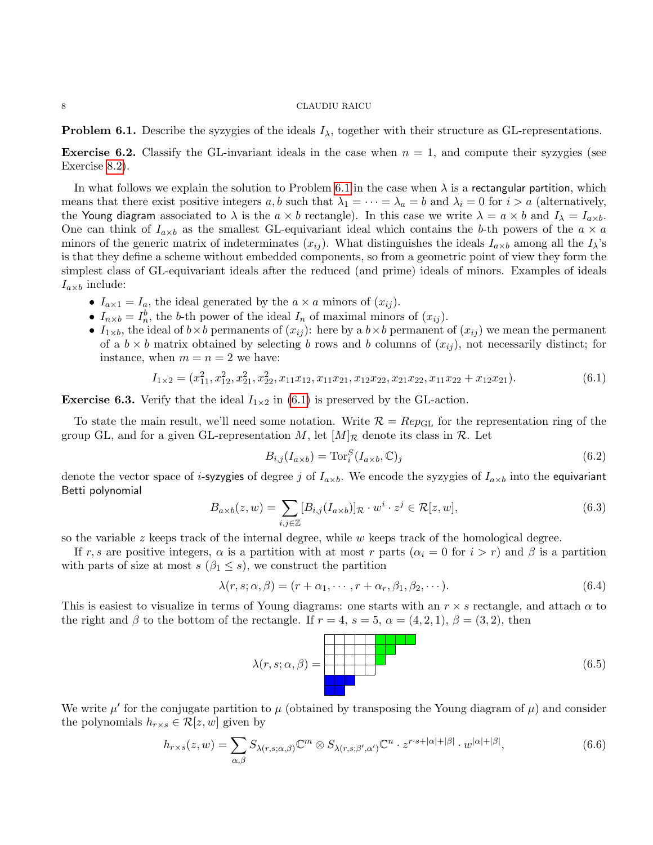<span id="page-7-0"></span>**Problem 6.1.** Describe the syzygies of the ideals  $I_{\lambda}$ , together with their structure as GL-representations.

<span id="page-7-2"></span>**Exercise 6.2.** Classify the GL-invariant ideals in the case when  $n = 1$ , and compute their syzygies (see Exercise [8.2\)](#page-9-0).

In what follows we explain the solution to Problem [6.1](#page-7-0) in the case when  $\lambda$  is a rectangular partition, which means that there exist positive integers a, b such that  $\lambda_1 = \cdots = \lambda_a = b$  and  $\lambda_i = 0$  for  $i > a$  (alternatively, the Young diagram associated to  $\lambda$  is the  $a \times b$  rectangle). In this case we write  $\lambda = a \times b$  and  $I_{\lambda} = I_{a \times b}$ . One can think of  $I_{a\times b}$  as the smallest GL-equivariant ideal which contains the b-th powers of the  $a \times a$ minors of the generic matrix of indeterminates  $(x_{ij})$ . What distinguishes the ideals  $I_{\alpha\times b}$  among all the  $I_{\lambda}$ 's is that they define a scheme without embedded components, so from a geometric point of view they form the simplest class of GL-equivariant ideals after the reduced (and prime) ideals of minors. Examples of ideals  $I_{a\times b}$  include:

- $I_{a\times 1} = I_a$ , the ideal generated by the  $a \times a$  minors of  $(x_{ij})$ .
- $I_{n \times b} = I_n^b$ , the b-th power of the ideal  $I_n$  of maximal minors of  $(x_{ij})$ .
- $I_{1\times b}$ , the ideal of  $b\times b$  permanents of  $(x_{ij})$ : here by a  $b\times b$  permanent of  $(x_{ij})$  we mean the permanent of a  $b \times b$  matrix obtained by selecting b rows and b columns of  $(x_{ij})$ , not necessarily distinct; for instance, when  $m = n = 2$  we have:

<span id="page-7-1"></span>
$$
I_{1\times2} = (x_{11}^2, x_{12}^2, x_{21}^2, x_{22}^2, x_{11}x_{12}, x_{11}x_{21}, x_{12}x_{22}, x_{21}x_{22}, x_{11}x_{22} + x_{12}x_{21}).
$$
\n(6.1)

**Exercise 6.3.** Verify that the ideal  $I_{1\times 2}$  in [\(6.1\)](#page-7-1) is preserved by the GL-action.

To state the main result, we'll need some notation. Write  $\mathcal{R} = Rep_{\text{GL}}$  for the representation ring of the group GL, and for a given GL-representation M, let  $[M]_{\mathcal{R}}$  denote its class in  $\mathcal{R}$ . Let

$$
B_{i,j}(I_{a\times b}) = \text{Tor}_i^S(I_{a\times b}, \mathbb{C})_j
$$
\n(6.2)

denote the vector space of *i*-syzygies of degree j of  $I_{a\times b}$ . We encode the syzygies of  $I_{a\times b}$  into the equivariant Betti polynomial

$$
B_{a \times b}(z, w) = \sum_{i,j \in \mathbb{Z}} [B_{i,j}(I_{a \times b})]_{\mathcal{R}} \cdot w^i \cdot z^j \in \mathcal{R}[z, w],\tag{6.3}
$$

so the variable  $z$  keeps track of the internal degree, while  $w$  keeps track of the homological degree.

If r, s are positive integers,  $\alpha$  is a partition with at most r parts  $(\alpha_i = 0$  for  $i > r)$  and  $\beta$  is a partition with parts of size at most  $s$  ( $\beta_1 \leq s$ ), we construct the partition

$$
\lambda(r, s; \alpha, \beta) = (r + \alpha_1, \cdots, r + \alpha_r, \beta_1, \beta_2, \cdots).
$$
\n(6.4)

This is easiest to visualize in terms of Young diagrams: one starts with an  $r \times s$  rectangle, and attach  $\alpha$  to the right and  $\beta$  to the bottom of the rectangle. If  $r = 4$ ,  $s = 5$ ,  $\alpha = (4, 2, 1)$ ,  $\beta = (3, 2)$ , then



We write  $\mu'$  for the conjugate partition to  $\mu$  (obtained by transposing the Young diagram of  $\mu$ ) and consider the polynomials  $h_{r\times s} \in \mathcal{R}[z,w]$  given by

$$
h_{r \times s}(z, w) = \sum_{\alpha, \beta} S_{\lambda(r, s; \alpha, \beta)} \mathbb{C}^m \otimes S_{\lambda(r, s; \beta', \alpha')} \mathbb{C}^n \cdot z^{r \cdot s + |\alpha| + |\beta|} \cdot w^{|\alpha| + |\beta|}, \tag{6.6}
$$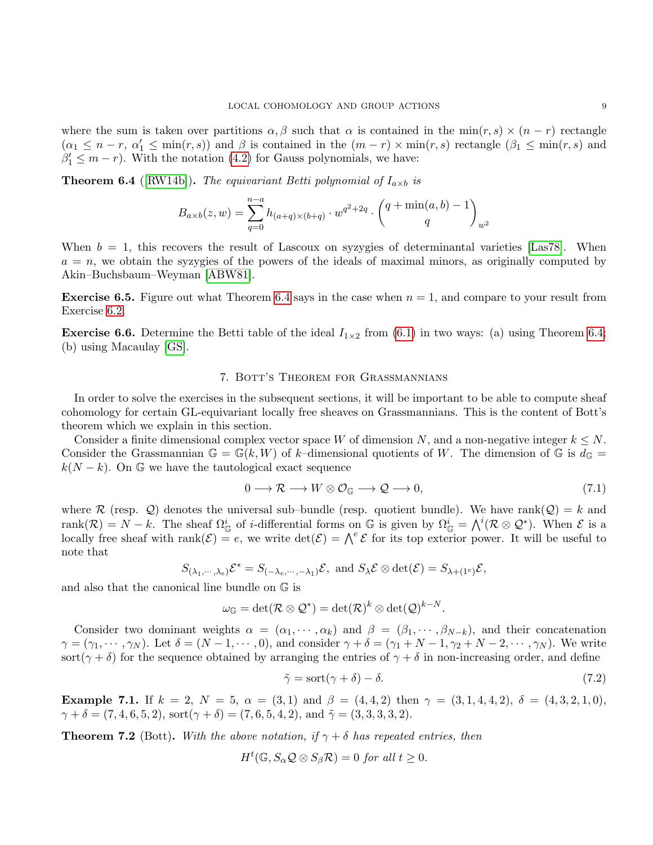where the sum is taken over partitions  $\alpha, \beta$  such that  $\alpha$  is contained in the min $(r, s) \times (n - r)$  rectangle  $(\alpha_1 \leq n-r, \alpha'_1 \leq \min(r,s))$  and  $\beta$  is contained in the  $(m-r) \times \min(r,s)$  rectangle  $(\beta_1 \leq \min(r,s))$  and  $\beta'_1 \leq m-r$ ). With the notation [\(4.2\)](#page-4-0) for Gauss polynomials, we have:

<span id="page-8-0"></span>**Theorem 6.4** ([\[RW14b\]](#page-13-8)). The equivariant Betti polynomial of  $I_{a \times b}$  is

$$
B_{a \times b}(z, w) = \sum_{q=0}^{n-a} h_{(a+q) \times (b+q)} \cdot w^{q^2 + 2q} \cdot \binom{q + \min(a, b) - 1}{q}_{w^2}
$$

When  $b = 1$ , this recovers the result of Lascoux on syzygies of determinantal varieties [\[Las78\]](#page-12-16). When  $a = n$ , we obtain the syzygies of the powers of the ideals of maximal minors, as originally computed by Akin–Buchsbaum–Weyman [\[ABW81\]](#page-12-17).

**Exercise 6.5.** Figure out what Theorem [6.4](#page-8-0) says in the case when  $n = 1$ , and compare to your result from Exercise [6.2.](#page-7-2)

**Exercise 6.6.** Determine the Betti table of the ideal  $I_{1\times 2}$  from [\(6.1\)](#page-7-1) in two ways: (a) using Theorem [6.4;](#page-8-0) (b) using Macaulay [\[GS\]](#page-12-18).

### 7. Bott's Theorem for Grassmannians

In order to solve the exercises in the subsequent sections, it will be important to be able to compute sheaf cohomology for certain GL-equivariant locally free sheaves on Grassmannians. This is the content of Bott's theorem which we explain in this section.

Consider a finite dimensional complex vector space W of dimension N, and a non-negative integer  $k \leq N$ . Consider the Grassmannian  $\mathbb{G} = \mathbb{G}(k, W)$  of k–dimensional quotients of W. The dimension of  $\mathbb{G}$  is  $d_{\mathbb{G}} =$  $k(N - k)$ . On G we have the tautological exact sequence

$$
0 \longrightarrow \mathcal{R} \longrightarrow W \otimes \mathcal{O}_{\mathbb{G}} \longrightarrow \mathcal{Q} \longrightarrow 0,
$$
\n
$$
(7.1)
$$

where R (resp. Q) denotes the universal sub-bundle (resp. quotient bundle). We have rank( $Q$ ) = k and rank $(\mathcal{R}) = N - k$ . The sheaf  $\Omega_{\mathbb{G}}^i$  of *i*-differential forms on  $\mathbb{G}$  is given by  $\Omega_{\mathbb{G}}^i = \bigwedge^i (\mathcal{R} \otimes \mathcal{Q}^*)$ . When  $\mathcal{E}$  is a locally free sheaf with rank $(\mathcal{E}) = e$ , we write  $\det(\mathcal{E}) = \bigwedge^e \mathcal{E}$  for its top exterior power. It will be useful to note that

$$
S_{(\lambda_1,\cdots,\lambda_e)}\mathcal{E}^* = S_{(-\lambda_e,\cdots,-\lambda_1)}\mathcal{E}, \text{ and } S_{\lambda}\mathcal{E} \otimes \det(\mathcal{E}) = S_{\lambda+(1^e)}\mathcal{E},
$$

and also that the canonical line bundle on G is

$$
\omega_{\mathbb{G}}=\det(\mathcal{R}\otimes\mathcal{Q}^*)=\det(\mathcal{R})^k\otimes\det(\mathcal{Q})^{k-N}.
$$

Consider two dominant weights  $\alpha = (\alpha_1, \dots, \alpha_k)$  and  $\beta = (\beta_1, \dots, \beta_{N-k})$ , and their concatenation  $\gamma = (\gamma_1, \dots, \gamma_N)$ . Let  $\delta = (N-1, \dots, 0)$ , and consider  $\gamma + \delta = (\gamma_1 + N - 1, \gamma_2 + N - 2, \dots, \gamma_N)$ . We write sort( $\gamma + \delta$ ) for the sequence obtained by arranging the entries of  $\gamma + \delta$  in non-increasing order, and define

$$
\tilde{\gamma} = \text{sort}(\gamma + \delta) - \delta. \tag{7.2}
$$

<span id="page-8-1"></span>Example 7.1. If  $k = 2$ ,  $N = 5$ ,  $\alpha = (3, 1)$  and  $\beta = (4, 4, 2)$  then  $\gamma = (3, 1, 4, 4, 2)$ ,  $\delta = (4, 3, 2, 1, 0)$ ,  $\gamma + \delta = (7, 4, 6, 5, 2), \text{ sort}(\gamma + \delta) = (7, 6, 5, 4, 2), \text{ and } \tilde{\gamma} = (3, 3, 3, 3, 2).$ 

**Theorem 7.2** (Bott). With the above notation, if  $\gamma + \delta$  has repeated entries, then

$$
H^t(\mathbb{G}, S_{\alpha} \mathcal{Q} \otimes S_{\beta} \mathcal{R}) = 0 \text{ for all } t \ge 0.
$$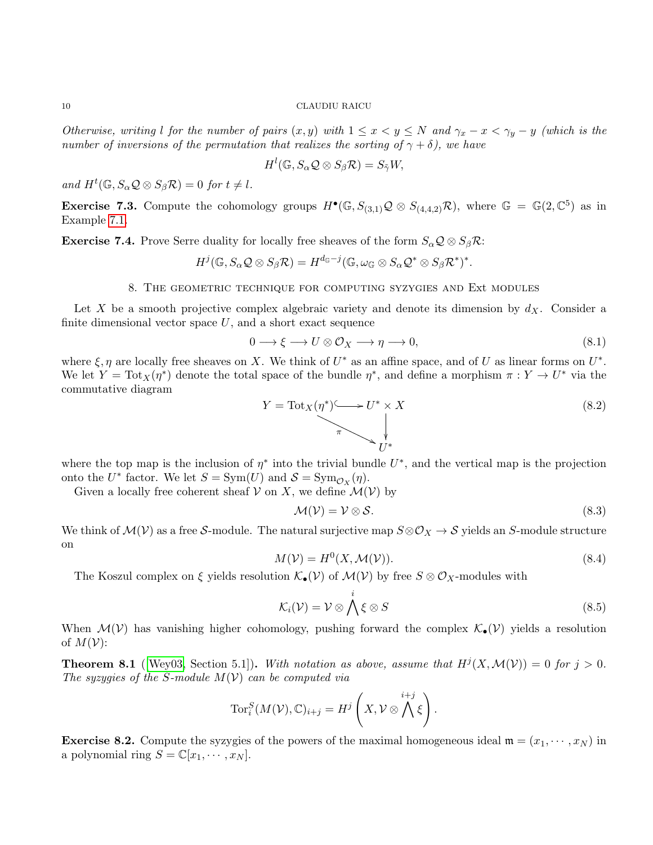Otherwise, writing l for the number of pairs  $(x, y)$  with  $1 \le x < y \le N$  and  $\gamma_x - x < \gamma_y - y$  (which is the number of inversions of the permutation that realizes the sorting of  $\gamma + \delta$ ), we have

$$
H^l(\mathbb{G}, S_\alpha\mathcal{Q}\otimes S_\beta\mathcal{R})=S_{\tilde{\gamma}}W,
$$

and  $H^t(\mathbb{G}, S_\alpha \mathcal{Q} \otimes S_\beta \mathcal{R}) = 0$  for  $t \neq l$ .

**Exercise 7.3.** Compute the cohomology groups  $H^{\bullet}(\mathbb{G}, S_{(3,1)}\mathcal{Q} \otimes S_{(4,4,2)}\mathcal{R})$ , where  $\mathbb{G} = \mathbb{G}(2,\mathbb{C}^5)$  as in Example [7.1.](#page-8-1)

**Exercise 7.4.** Prove Serre duality for locally free sheaves of the form  $S_{\alpha} \mathcal{Q} \otimes S_{\beta} \mathcal{R}$ :

$$
H^j(\mathbb{G},S_\alpha\mathcal{Q}\otimes S_\beta\mathcal{R})=H^{d_\mathbb{G}-j}(\mathbb{G},\omega_\mathbb{G}\otimes S_\alpha\mathcal{Q}^*\otimes S_\beta\mathcal{R}^*)^*.
$$

## 8. The geometric technique for computing syzygies and Ext modules

<span id="page-9-2"></span>Let X be a smooth projective complex algebraic variety and denote its dimension by  $d_X$ . Consider a finite dimensional vector space  $U$ , and a short exact sequence

<span id="page-9-1"></span>
$$
0 \longrightarrow \xi \longrightarrow U \otimes \mathcal{O}_X \longrightarrow \eta \longrightarrow 0,
$$
\n
$$
(8.1)
$$

where  $\xi, \eta$  are locally free sheaves on X. We think of  $U^*$  as an affine space, and of U as linear forms on  $U^*$ . We let  $Y = \text{Tot}_X(\eta^*)$  denote the total space of the bundle  $\eta^*$ , and define a morphism  $\pi : Y \to U^*$  via the commutative diagram

<span id="page-9-3"></span>
$$
Y = \text{Tot}_X(\eta^*) \longrightarrow U^* \times X
$$
\n
$$
\downarrow
$$
\n
$$
U^*
$$
\n
$$
(8.2)
$$

where the top map is the inclusion of  $\eta^*$  into the trivial bundle  $U^*$ , and the vertical map is the projection onto the  $U^*$  factor. We let  $S = \text{Sym}(U)$  and  $S = \text{Sym}_{\mathcal{O}_X}(\eta)$ .

Given a locally free coherent sheaf  $V$  on X, we define  $\mathcal{M}(V)$  by

$$
\mathcal{M}(\mathcal{V}) = \mathcal{V} \otimes \mathcal{S}.\tag{8.3}
$$

We think of  $\mathcal{M}(\mathcal{V})$  as a free S-module. The natural surjective map  $S \otimes \mathcal{O}_X \to S$  yields an S-module structure on

$$
M(\mathcal{V}) = H^0(X, \mathcal{M}(\mathcal{V})).
$$
\n(8.4)

The Koszul complex on  $\xi$  yields resolution  $\mathcal{K}_{\bullet}(\mathcal{V})$  of  $\mathcal{M}(\mathcal{V})$  by free  $S \otimes \mathcal{O}_X$ -modules with

$$
\mathcal{K}_i(\mathcal{V}) = \mathcal{V} \otimes \bigwedge^i \xi \otimes S \tag{8.5}
$$

When  $\mathcal{M}(\mathcal{V})$  has vanishing higher cohomology, pushing forward the complex  $\mathcal{K}_{\bullet}(\mathcal{V})$  yields a resolution of  $M(V)$ :

**Theorem 8.1** (Wey03, Section 5.1)). With notation as above, assume that  $H^{j}(X, \mathcal{M}(V)) = 0$  for  $j > 0$ . The syzygies of the S-module  $M(V)$  can be computed via

$$
\operatorname{Tor}_i^S(M(\mathcal{V}),\mathbb{C})_{i+j} = H^j\left(X, \mathcal{V}\otimes \bigwedge^{i+j} \xi\right).
$$

<span id="page-9-0"></span>**Exercise 8.2.** Compute the syzygies of the powers of the maximal homogeneous ideal  $\mathfrak{m} = (x_1, \dots, x_N)$  in a polynomial ring  $S = \mathbb{C}[x_1, \dots, x_N].$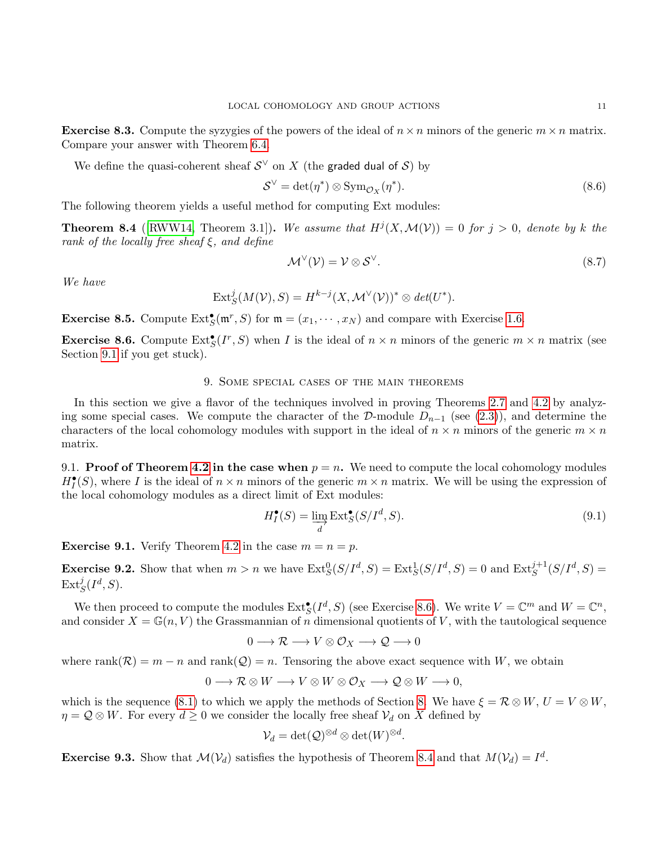**Exercise 8.3.** Compute the syzygies of the powers of the ideal of  $n \times n$  minors of the generic  $m \times n$  matrix. Compare your answer with Theorem [6.4.](#page-8-0)

We define the quasi-coherent sheaf  $\mathcal{S}^{\vee}$  on  $X$  (the **graded dual of S**) by

$$
S^{\vee} = \det(\eta^*) \otimes \text{Sym}_{\mathcal{O}_X}(\eta^*). \tag{8.6}
$$

The following theorem yields a useful method for computing Ext modules:

<span id="page-10-2"></span>**Theorem 8.4** ([\[RWW14,](#page-13-1) Theorem 3.1]). We assume that  $H^{j}(X, \mathcal{M}(V)) = 0$  for  $j > 0$ , denote by k the rank of the locally free sheaf  $\xi$ , and define

$$
\mathcal{M}^{\vee}(\mathcal{V}) = \mathcal{V} \otimes \mathcal{S}^{\vee}.
$$
 (8.7)

We have

$$
\text{Ext}^j_S(M(\mathcal{V}), S) = H^{k-j}(X, \mathcal{M}^{\vee}(\mathcal{V}))^* \otimes \det(U^*).
$$

**Exercise 8.5.** Compute  $\text{Ext}^{\bullet}_{S}(\mathfrak{m}^r, S)$  for  $\mathfrak{m} = (x_1, \dots, x_N)$  and compare with Exercise [1.6.](#page-1-5)

<span id="page-10-1"></span>**Exercise 8.6.** Compute  $\text{Ext}^{\bullet}_{S}(I^r, S)$  when I is the ideal of  $n \times n$  minors of the generic  $m \times n$  matrix (see Section [9.1](#page-10-0) if you get stuck).

## 9. Some special cases of the main theorems

In this section we give a flavor of the techniques involved in proving Theorems [2.7](#page-2-2) and [4.2](#page-4-2) by analyzing some special cases. We compute the character of the D-module  $D_{n-1}$  (see [\(2.3\)](#page-2-1)), and determine the characters of the local cohomology modules with support in the ideal of  $n \times n$  minors of the generic  $m \times n$ matrix.

<span id="page-10-0"></span>9.1. **Proof of Theorem [4.2](#page-4-2) in the case when**  $p = n$ . We need to compute the local cohomology modules  $H_I^{\bullet}(S)$ , where I is the ideal of  $n \times n$  minors of the generic  $m \times n$  matrix. We will be using the expression of the local cohomology modules as a direct limit of Ext modules:

<span id="page-10-3"></span>
$$
H_I^{\bullet}(S) = \varinjlim_{d} \text{Ext}^{\bullet}_S(S/I^d, S). \tag{9.1}
$$

**Exercise 9.1.** Verify Theorem [4.2](#page-4-2) in the case  $m = n = p$ .

**Exercise 9.2.** Show that when  $m > n$  we have  $\text{Ext}^0_S(S/I^d, S) = \text{Ext}^1_S(S/I^d, S) = 0$  and  $\text{Ext}^{j+1}_S(S/I^d, S) = 0$  $\mathrm{Ext}^j_S(I^d,S).$ 

We then proceed to compute the modules  $\text{Ext}^{\bullet}_{S}(I^d, S)$  (see Exercise [8.6\)](#page-10-1). We write  $V = \mathbb{C}^m$  and  $W = \mathbb{C}^n$ , and consider  $X = \mathbb{G}(n, V)$  the Grassmannian of n dimensional quotients of V, with the tautological sequence

$$
0 \longrightarrow \mathcal{R} \longrightarrow V \otimes \mathcal{O}_X \longrightarrow \mathcal{Q} \longrightarrow 0
$$

where rank( $\mathcal{R}$ ) = m - n and rank( $\mathcal{Q}$ ) = n. Tensoring the above exact sequence with W, we obtain

$$
0 \longrightarrow \mathcal{R} \otimes W \longrightarrow V \otimes W \otimes \mathcal{O}_X \longrightarrow \mathcal{Q} \otimes W \longrightarrow 0,
$$

which is the sequence [\(8.1\)](#page-9-1) to which we apply the methods of Section [8.](#page-9-2) We have  $\xi = \mathcal{R} \otimes W, U = V \otimes W$ ,  $\eta = Q \otimes W$ . For every  $d \geq 0$  we consider the locally free sheaf  $V_d$  on X defined by

$$
\mathcal{V}_d = \det(\mathcal{Q})^{\otimes d} \otimes \det(W)^{\otimes d}.
$$

**Exercise 9.3.** Show that  $\mathcal{M}(\mathcal{V}_d)$  satisfies the hypothesis of Theorem [8.4](#page-10-2) and that  $M(\mathcal{V}_d) = I^d$ .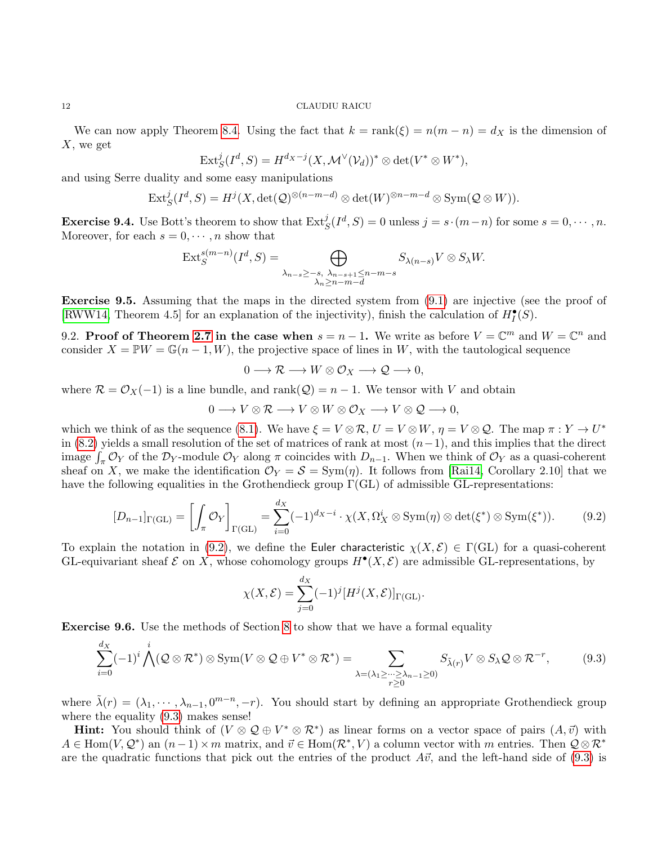We can now apply Theorem [8.4.](#page-10-2) Using the fact that  $k = \text{rank}(\xi) = n(m - n) = d_X$  is the dimension of  $X$ , we get

$$
\text{Ext}^j_S(I^d, S) = H^{d_X - j}(X, \mathcal{M}^{\vee}(\mathcal{V}_d))^* \otimes \det(V^* \otimes W^*),
$$

and using Serre duality and some easy manipulations

$$
\mathrm{Ext}^j_S(I^d, S) = H^j(X, \det(\mathcal{Q})^{\otimes (n-m-d)} \otimes \det(W)^{\otimes n-m-d} \otimes \mathrm{Sym}(\mathcal{Q} \otimes W)).
$$

**Exercise 9.4.** Use Bott's theorem to show that  $\text{Ext}^j_S(I^d, S) = 0$  unless  $j = s \cdot (m-n)$  for some  $s = 0, \dots, n$ . Moreover, for each  $s = 0, \dots, n$  show that

$$
\operatorname{Ext}_{S}^{s(m-n)}(I^{d}, S) = \bigoplus_{\substack{\lambda_{n-s} \geq -s, \ \lambda_{n-s+1} \leq n-m-s \\ \lambda_{n} \geq n-m-d}} S_{\lambda(n-s)} V \otimes S_{\lambda} W.
$$

Exercise 9.5. Assuming that the maps in the directed system from  $(9.1)$  are injective (see the proof of [\[RWW14,](#page-13-1) Theorem 4.5] for an explanation of the injectivity), finish the calculation of  $H_I^{\bullet}(S)$ .

9.2. Proof of Theorem [2.7](#page-2-2) in the case when  $s = n - 1$ . We write as before  $V = \mathbb{C}^m$  and  $W = \mathbb{C}^n$  and consider  $X = \mathbb{P}W = \mathbb{G}(n-1, W)$ , the projective space of lines in W, with the tautological sequence

$$
0 \longrightarrow \mathcal{R} \longrightarrow W \otimes \mathcal{O}_X \longrightarrow \mathcal{Q} \longrightarrow 0,
$$

where  $\mathcal{R} = \mathcal{O}_X(-1)$  is a line bundle, and rank $(\mathcal{Q}) = n - 1$ . We tensor with V and obtain

$$
0 \longrightarrow V \otimes \mathcal{R} \longrightarrow V \otimes W \otimes \mathcal{O}_X \longrightarrow V \otimes \mathcal{Q} \longrightarrow 0,
$$

which we think of as the sequence [\(8.1\)](#page-9-1). We have  $\xi = V \otimes \mathcal{R}$ ,  $U = V \otimes W$ ,  $\eta = V \otimes \mathcal{Q}$ . The map  $\pi : Y \to U^*$ in [\(8.2\)](#page-9-3) yields a small resolution of the set of matrices of rank at most  $(n-1)$ , and this implies that the direct image  $\int_{\pi} O_Y$  of the D<sub>Y</sub>-module  $\mathcal{O}_Y$  along  $\pi$  coincides with D<sub>n−1</sub>. When we think of  $\mathcal{O}_Y$  as a quasi-coherent sheaf on X, we make the identification  $\mathcal{O}_Y = \mathcal{S} = \text{Sym}(\eta)$ . It follows from [\[Rai14,](#page-12-1) Corollary 2.10] that we have the following equalities in the Grothendieck group  $\Gamma(GL)$  of admissible GL-representations:

<span id="page-11-0"></span>
$$
[D_{n-1}]_{\Gamma(\mathrm{GL})} = \left[ \int_{\pi} \mathcal{O}_Y \right]_{\Gamma(\mathrm{GL})} = \sum_{i=0}^{d_X} (-1)^{d_X - i} \cdot \chi(X, \Omega_X^i \otimes \mathrm{Sym}(\eta) \otimes \det(\xi^*) \otimes \mathrm{Sym}(\xi^*)). \tag{9.2}
$$

To explain the notation in [\(9.2\)](#page-11-0), we define the Euler characteristic  $\chi(X,\mathcal{E}) \in \Gamma(\mathrm{GL})$  for a quasi-coherent GL-equivariant sheaf  $\mathcal E$  on X, whose cohomology groups  $H^{\bullet}(X, \mathcal E)$  are admissible GL-representations, by

$$
\chi(X,\mathcal{E}) = \sum_{j=0}^{d_X} (-1)^j [H^j(X,\mathcal{E})]_{\Gamma(\mathrm{GL})}.
$$

Exercise 9.6. Use the methods of Section [8](#page-9-2) to show that we have a formal equality

<span id="page-11-1"></span>
$$
\sum_{i=0}^{d_X} (-1)^i \bigwedge^i (Q \otimes \mathcal{R}^*) \otimes \text{Sym}(V \otimes Q \oplus V^* \otimes \mathcal{R}^*) = \sum_{\lambda = (\lambda_1 \geq \dots \geq \lambda_{n-1} \geq 0)} S_{\tilde{\lambda}(r)} V \otimes S_{\lambda} Q \otimes \mathcal{R}^{-r},
$$
(9.3)

where  $\tilde{\lambda}(r) = (\lambda_1, \dots, \lambda_{n-1}, 0^{m-n}, -r)$ . You should start by defining an appropriate Grothendieck group where the equality  $(9.3)$  makes sense!

**Hint:** You should think of  $(V \otimes \mathcal{Q} \oplus V^* \otimes \mathcal{R}^*)$  as linear forms on a vector space of pairs  $(A, \vec{v})$  with  $A \in \text{Hom}(V, \mathcal{Q}^*)$  an  $(n-1) \times m$  matrix, and  $\vec{v} \in \text{Hom}(\mathcal{R}^*, V)$  a column vector with m entries. Then  $\mathcal{Q} \otimes \mathcal{R}^*$ are the quadratic functions that pick out the entries of the product  $A\vec{v}$ , and the left-hand side of [\(9.3\)](#page-11-1) is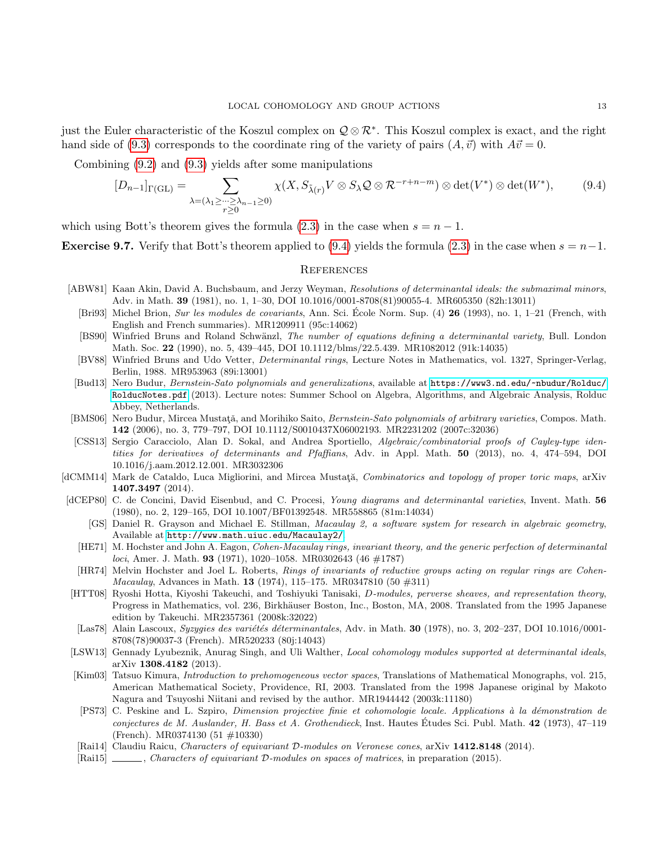just the Euler characteristic of the Koszul complex on  $\mathcal{Q} \otimes \mathcal{R}^*$ . This Koszul complex is exact, and the right hand side of [\(9.3\)](#page-11-1) corresponds to the coordinate ring of the variety of pairs  $(A, \vec{v})$  with  $A\vec{v} = 0$ .

Combining [\(9.2\)](#page-11-0) and [\(9.3\)](#page-11-1) yields after some manipulations

<span id="page-12-19"></span>
$$
[D_{n-1}]_{\Gamma(\mathrm{GL})} = \sum_{\lambda = (\lambda_1 \ge \dots \ge \lambda_{n-1} \ge 0)} \chi(X, S_{\tilde{\lambda}(r)} V \otimes S_{\lambda} \mathcal{Q} \otimes \mathcal{R}^{-r+n-m}) \otimes \det(V^*) \otimes \det(W^*), \tag{9.4}
$$

which using Bott's theorem gives the formula [\(2.3\)](#page-2-1) in the case when  $s = n - 1$ .

**Exercise 9.7.** Verify that Bott's theorem applied to [\(9.4\)](#page-12-19) yields the formula [\(2.3\)](#page-2-1) in the case when  $s = n-1$ .

### **REFERENCES**

- <span id="page-12-17"></span><span id="page-12-14"></span><span id="page-12-9"></span>[ABW81] Kaan Akin, David A. Buchsbaum, and Jerzy Weyman, Resolutions of determinantal ideals: the submaximal minors, Adv. in Math. 39 (1981), no. 1, 1–30, DOI 10.1016/0001-8708(81)90055-4. MR605350 (82h:13011)
	- [Bri93] Michel Brion, Sur les modules de covariants, Ann. Sci. Ecole Norm. Sup.  $(4)$  26 (1993), no. 1, 1–21 (French, with English and French summaries). MR1209911 (95c:14062)
	- [BS90] Winfried Bruns and Roland Schwänzl, The number of equations defining a determinantal variety, Bull. London Math. Soc. 22 (1990), no. 5, 439–445, DOI 10.1112/blms/22.5.439. MR1082012 (91k:14035)
	- [BV88] Winfried Bruns and Udo Vetter, Determinantal rings, Lecture Notes in Mathematics, vol. 1327, Springer-Verlag, Berlin, 1988. MR953963 (89i:13001)
- <span id="page-12-11"></span><span id="page-12-8"></span>[Bud13] Nero Budur, Bernstein-Sato polynomials and generalizations, available at [https://www3.nd.edu/~nbudur/Rolduc/](https://www3.nd.edu/~nbudur/Rolduc/RolducNotes.pdf‎) [RolducNotes.pdf](https://www3.nd.edu/~nbudur/Rolduc/RolducNotes.pdf‎) (2013). Lecture notes: Summer School on Algebra, Algorithms, and Algebraic Analysis, Rolduc Abbey, Netherlands.
- <span id="page-12-7"></span>[BMS06] Nero Budur, Mircea Mustată, and Morihiko Saito, *Bernstein-Sato polynomials of arbitrary varieties*, Compos. Math. 142 (2006), no. 3, 779–797, DOI 10.1112/S0010437X06002193. MR2231202 (2007c:32036)
- <span id="page-12-5"></span>[CSS13] Sergio Caracciolo, Alan D. Sokal, and Andrea Sportiello, Algebraic/combinatorial proofs of Cayley-type identities for derivatives of determinants and Pfaffians, Adv. in Appl. Math. 50 (2013), no. 4, 474–594, DOI 10.1016/j.aam.2012.12.001. MR3032306
- <span id="page-12-2"></span>[dCMM14] Mark de Cataldo, Luca Migliorini, and Mircea Mustata, Combinatorics and topology of proper toric maps, arXiv 1407.3497 (2014).
- <span id="page-12-18"></span><span id="page-12-15"></span><span id="page-12-10"></span>[dCEP80] C. de Concini, David Eisenbud, and C. Procesi, Young diagrams and determinantal varieties, Invent. Math. 56 (1980), no. 2, 129–165, DOI 10.1007/BF01392548. MR558865 (81m:14034)
	- [GS] Daniel R. Grayson and Michael E. Stillman, Macaulay 2, a software system for research in algebraic geometry, Available at <http://www.math.uiuc.edu/Macaulay2/>.
	- [HE71] M. Hochster and John A. Eagon, Cohen-Macaulay rings, invariant theory, and the generic perfection of determinantal loci, Amer. J. Math. 93 (1971), 1020–1058. MR0302643 (46  $\#1787$ )
	- [HR74] Melvin Hochster and Joel L. Roberts, Rings of invariants of reductive groups acting on regular rings are Cohen-*Macaulay*, Advances in Math. **13** (1974), 115–175. MR0347810 (50  $\#311$ )
- <span id="page-12-13"></span><span id="page-12-3"></span>[HTT08] Ryoshi Hotta, Kiyoshi Takeuchi, and Toshiyuki Tanisaki, D-modules, perverse sheaves, and representation theory, Progress in Mathematics, vol. 236, Birkhäuser Boston, Inc., Boston, MA, 2008. Translated from the 1995 Japanese edition by Takeuchi. MR2357361 (2008k:32022)
- <span id="page-12-16"></span>[Las78] Alain Lascoux, Syzygies des variétés déterminantales, Adv. in Math. 30 (1978), no. 3, 202-237, DOI 10.1016/0001-8708(78)90037-3 (French). MR520233 (80j:14043)
- <span id="page-12-0"></span>[LSW13] Gennady Lyubeznik, Anurag Singh, and Uli Walther, *Local cohomology modules supported at determinantal ideals*, arXiv 1308.4182 (2013).
- <span id="page-12-6"></span>[Kim03] Tatsuo Kimura, Introduction to prehomogeneous vector spaces, Translations of Mathematical Monographs, vol. 215, American Mathematical Society, Providence, RI, 2003. Translated from the 1998 Japanese original by Makoto Nagura and Tsuyoshi Niitani and revised by the author. MR1944442 (2003k:11180)
- <span id="page-12-12"></span>[PS73] C. Peskine and L. Szpiro, Dimension projective finie et cohomologie locale. Applications à la démonstration de conjectures de M. Auslander, H. Bass et A. Grothendieck, Inst. Hautes Etudes Sci. Publ. Math.  $42$  (1973), 47–119 (French). MR0374130 (51 #10330)
- <span id="page-12-1"></span>[Rai14] Claudiu Raicu, Characters of equivariant D-modules on Veronese cones, arXiv 1412.8148 (2014).
- <span id="page-12-4"></span>[Rai15] , Characters of equivariant D-modules on spaces of matrices, in preparation (2015).